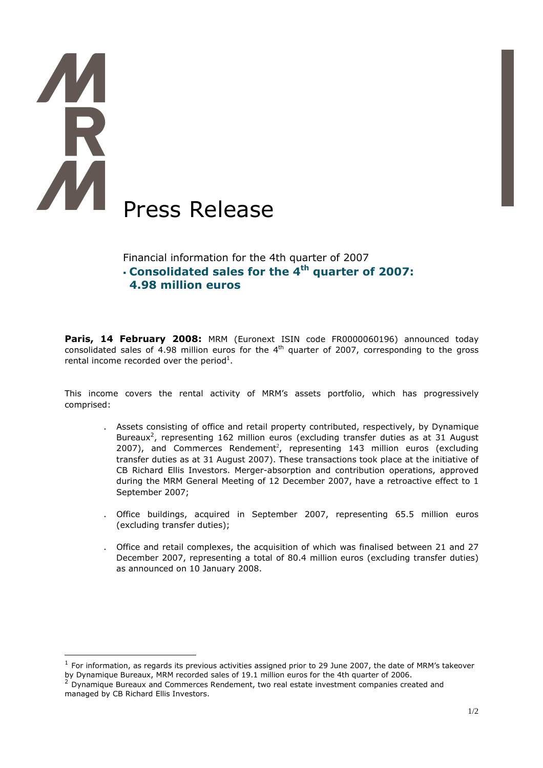# Press Release

 $\overline{a}$ 

# Financial information for the 4th quarter of 2007 Consolidated sales for the 4<sup>th</sup> quarter of 2007: 4.98 million euros

Paris, 14 February 2008: MRM (Euronext ISIN code FR0000060196) announced today consolidated sales of 4.98 million euros for the  $4<sup>th</sup>$  quarter of 2007, corresponding to the gross rental income recorded over the period<sup>1</sup>.

This income covers the rental activity of MRM's assets portfolio, which has progressively comprised:

- . Assets consisting of office and retail property contributed, respectively, by Dynamique Bureaux<sup>2</sup>, representing 162 million euros (excluding transfer duties as at 31 August 2007), and Commerces Rendement<sup>2</sup>, representing 143 million euros (excluding transfer duties as at 31 August 2007). These transactions took place at the initiative of CB Richard Ellis Investors. Merger-absorption and contribution operations, approved during the MRM General Meeting of 12 December 2007, have a retroactive effect to 1 September 2007;
- . Office buildings, acquired in September 2007, representing 65.5 million euros (excluding transfer duties);
- . Office and retail complexes, the acquisition of which was finalised between 21 and 27 December 2007, representing a total of 80.4 million euros (excluding transfer duties) as announced on 10 January 2008.

 $^1$  For information, as regards its previous activities assigned prior to 29 June 2007, the date of MRM's takeover by Dynamique Bureaux, MRM recorded sales of 19.1 million euros for the 4th quarter of 2006.

 $2^{2}$  Dynamique Bureaux and Commerces Rendement, two real estate investment companies created and managed by CB Richard Ellis Investors.